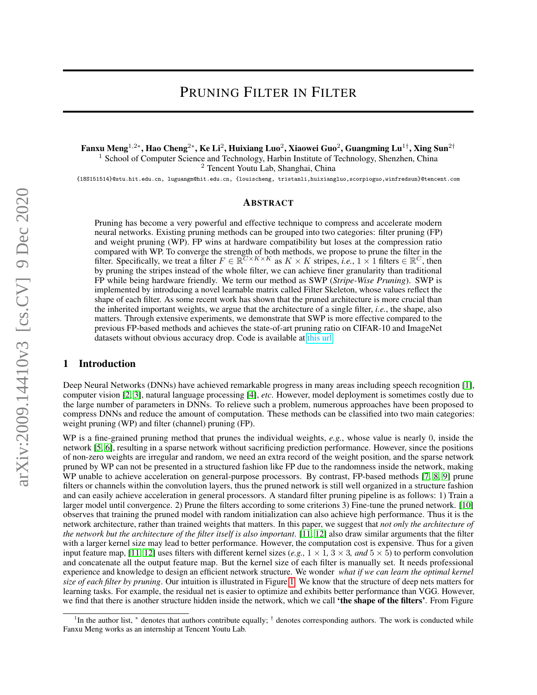Fanxu Meng $^{1,2*}$ , Hao Cheng $^{2*}$ , Ke Li $^2$ , Huixiang Luo $^2$ , Xiaowei Guo $^2$ , Guangming Lu $^{1\dagger}$ , Xing Sun $^{2\dagger}$ <sup>1</sup> School of Computer Science and Technology, Harbin Institute of Technology, Shenzhen, China <sup>2</sup> Tencent Youtu Lab, Shanghai, China

{18S151514}@stu.hit.edu.cn, luguangm@hit.edu.cn, {louischeng, tristanli,huixiangluo,scorpioguo,winfredsun}@tencent.com

#### ABSTRACT

Pruning has become a very powerful and effective technique to compress and accelerate modern neural networks. Existing pruning methods can be grouped into two categories: filter pruning (FP) and weight pruning (WP). FP wins at hardware compatibility but loses at the compression ratio compared with WP. To converge the strength of both methods, we propose to prune the filter in the filter. Specifically, we treat a filter  $F \in \mathbb{R}^{C \times K \times K}$  as  $K \times K$  stripes, *i.e.*,  $1 \times 1$  filters  $\in \mathbb{R}^C$ , then by pruning the stripes instead of the whole filter, we can achieve finer granularity than traditional FP while being hardware friendly. We term our method as SWP (*Stripe-Wise Pruning*). SWP is implemented by introducing a novel learnable matrix called Filter Skeleton, whose values reflect the shape of each filter. As some recent work has shown that the pruned architecture is more crucial than the inherited important weights, we argue that the architecture of a single filter, *i.e.*, the shape, also matters. Through extensive experiments, we demonstrate that SWP is more effective compared to the previous FP-based methods and achieves the state-of-art pruning ratio on CIFAR-10 and ImageNet datasets without obvious accuracy drop. Code is available at [this url.](https://github.com/fxmeng/Pruning-Filter-in-Filter)

### 1 Introduction

Deep Neural Networks (DNNs) have achieved remarkable progress in many areas including speech recognition [\[1\]](#page-8-0), computer vision [\[2,](#page-8-1) [3\]](#page-8-2), natural language processing [\[4\]](#page-8-3), *etc*. However, model deployment is sometimes costly due to the large number of parameters in DNNs. To relieve such a problem, numerous approaches have been proposed to compress DNNs and reduce the amount of computation. These methods can be classified into two main categories: weight pruning (WP) and filter (channel) pruning (FP).

WP is a fine-grained pruning method that prunes the individual weights, *e.g.*, whose value is nearly 0, inside the network [\[5,](#page-8-4) [6\]](#page-8-5), resulting in a sparse network without sacrificing prediction performance. However, since the positions of non-zero weights are irregular and random, we need an extra record of the weight position, and the sparse network pruned by WP can not be presented in a structured fashion like FP due to the randomness inside the network, making WP unable to achieve acceleration on general-purpose processors. By contrast, FP-based methods [\[7,](#page-8-6) [8,](#page-8-7) [9\]](#page-8-8) prune filters or channels within the convolution layers, thus the pruned network is still well organized in a structure fashion and can easily achieve acceleration in general processors. A standard filter pruning pipeline is as follows: 1) Train a larger model until convergence. 2) Prune the filters according to some criterions 3) Fine-tune the pruned network. [\[10\]](#page-8-9) observes that training the pruned model with random initialization can also achieve high performance. Thus it is the network architecture, rather than trained weights that matters. In this paper, we suggest that *not only the architecture of the network but the architecture of the filter itself is also important*. [\[11,](#page-8-10) [12\]](#page-8-11) also draw similar arguments that the filter with a larger kernel size may lead to better performance. However, the computation cost is expensive. Thus for a given input feature map, [\[11,](#page-8-10) [12\]](#page-8-11) uses filters with different kernel sizes (*e.g.*,  $1 \times 1$ ,  $3 \times 3$ , and  $5 \times 5$ ) to perform convolution and concatenate all the output feature map. But the kernel size of each filter is manually set. It needs professional experience and knowledge to design an efficient network structure. We wonder *what if we can learn the optimal kernel size of each filter by pruning*. Our intuition is illustrated in Figure [1.](#page-1-0) We know that the structure of deep nets matters for learning tasks. For example, the residual net is easier to optimize and exhibits better performance than VGG. However, we find that there is another structure hidden inside the network, which we call 'the shape of the filters'. From Figure

<sup>&</sup>lt;sup>1</sup>In the author list,  $*$  denotes that authors contribute equally;  $\dagger$  denotes corresponding authors. The work is conducted while Fanxu Meng works as an internship at Tencent Youtu Lab.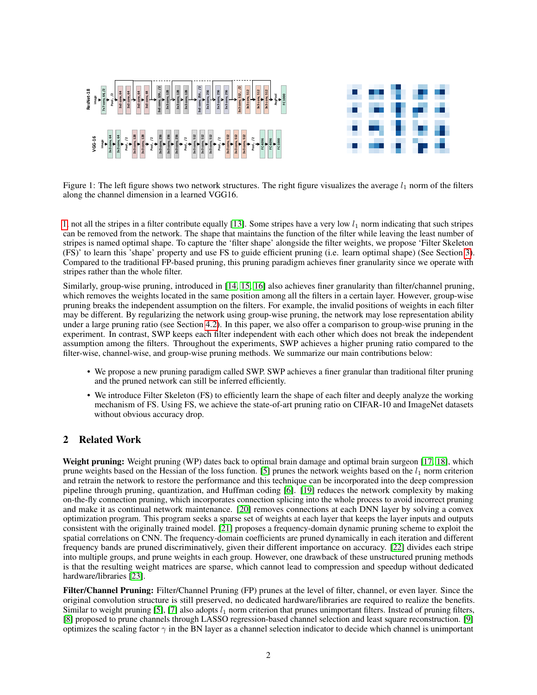

<span id="page-1-0"></span>Figure 1: The left figure shows two network structures. The right figure visualizes the average  $l_1$  norm of the filters along the channel dimension in a learned VGG16.

[1,](#page-1-0) not all the stripes in a filter contribute equally [\[13\]](#page-8-12). Some stripes have a very low  $l_1$  norm indicating that such stripes can be removed from the network. The shape that maintains the function of the filter while leaving the least number of stripes is named optimal shape. To capture the 'filter shape' alongside the filter weights, we propose 'Filter Skeleton (FS)' to learn this 'shape' property and use FS to guide efficient pruning (i.e. learn optimal shape) (See Section [3\)](#page-2-0). Compared to the traditional FP-based pruning, this pruning paradigm achieves finer granularity since we operate with stripes rather than the whole filter.

Similarly, group-wise pruning, introduced in [\[14,](#page-8-13) [15,](#page-8-14) [16\]](#page-8-15) also achieves finer granularity than filter/channel pruning, which removes the weights located in the same position among all the filters in a certain layer. However, group-wise pruning breaks the independent assumption on the filters. For example, the invalid positions of weights in each filter may be different. By regularizing the network using group-wise pruning, the network may lose representation ability under a large pruning ratio (see Section [4.2\)](#page-5-0). In this paper, we also offer a comparison to group-wise pruning in the experiment. In contrast, SWP keeps each filter independent with each other which does not break the independent assumption among the filters. Throughout the experiments, SWP achieves a higher pruning ratio compared to the filter-wise, channel-wise, and group-wise pruning methods. We summarize our main contributions below:

- We propose a new pruning paradigm called SWP. SWP achieves a finer granular than traditional filter pruning and the pruned network can still be inferred efficiently.
- We introduce Filter Skeleton (FS) to efficiently learn the shape of each filter and deeply analyze the working mechanism of FS. Using FS, we achieve the state-of-art pruning ratio on CIFAR-10 and ImageNet datasets without obvious accuracy drop.

# 2 Related Work

Weight pruning: Weight pruning (WP) dates back to optimal brain damage and optimal brain surgeon [\[17,](#page-8-16) [18\]](#page-8-17), which prune weights based on the Hessian of the loss function. [\[5\]](#page-8-4) prunes the network weights based on the  $l_1$  norm criterion and retrain the network to restore the performance and this technique can be incorporated into the deep compression pipeline through pruning, quantization, and Huffman coding [\[6\]](#page-8-5). [\[19\]](#page-8-18) reduces the network complexity by making on-the-fly connection pruning, which incorporates connection splicing into the whole process to avoid incorrect pruning and make it as continual network maintenance. [\[20\]](#page-8-19) removes connections at each DNN layer by solving a convex optimization program. This program seeks a sparse set of weights at each layer that keeps the layer inputs and outputs consistent with the originally trained model. [\[21\]](#page-8-20) proposes a frequency-domain dynamic pruning scheme to exploit the spatial correlations on CNN. The frequency-domain coefficients are pruned dynamically in each iteration and different frequency bands are pruned discriminatively, given their different importance on accuracy. [\[22\]](#page-8-21) divides each stripe into multiple groups, and prune weights in each group. However, one drawback of these unstructured pruning methods is that the resulting weight matrices are sparse, which cannot lead to compression and speedup without dedicated hardware/libraries [\[23\]](#page-8-22).

Filter/Channel Pruning: Filter/Channel Pruning (FP) prunes at the level of filter, channel, or even layer. Since the original convolution structure is still preserved, no dedicated hardware/libraries are required to realize the benefits. Similar to weight pruning [\[5\]](#page-8-4), [\[7\]](#page-8-6) also adopts  $l_1$  norm criterion that prunes unimportant filters. Instead of pruning filters, [\[8\]](#page-8-7) proposed to prune channels through LASSO regression-based channel selection and least square reconstruction. [\[9\]](#page-8-8) optimizes the scaling factor  $\gamma$  in the BN layer as a channel selection indicator to decide which channel is unimportant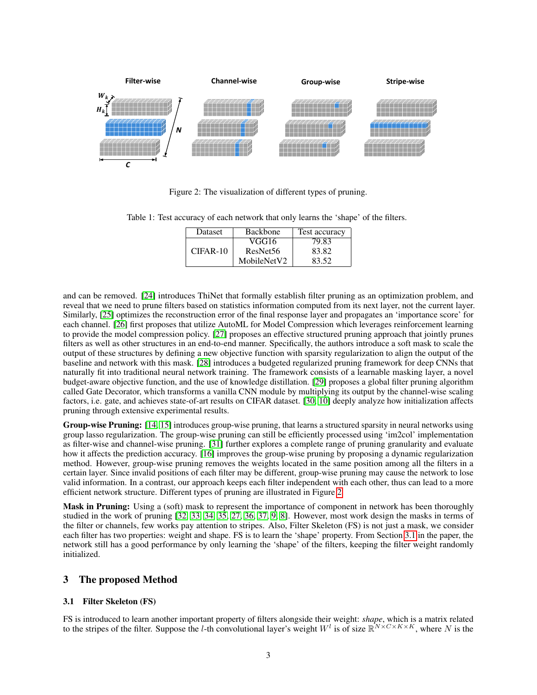

<span id="page-2-3"></span><span id="page-2-1"></span>Figure 2: The visualization of different types of pruning.

Table 1: Test accuracy of each network that only learns the 'shape' of the filters.

| Dataset    | <b>Backbone</b>      | Test accuracy |  |
|------------|----------------------|---------------|--|
|            | VGG16                | 79.83         |  |
| $CIFAR-10$ | ResNet <sub>56</sub> | 83.82         |  |
|            | MobileNetV2          | 83.52         |  |

and can be removed. [\[24\]](#page-9-0) introduces ThiNet that formally establish filter pruning as an optimization problem, and reveal that we need to prune filters based on statistics information computed from its next layer, not the current layer. Similarly, [\[25\]](#page-9-1) optimizes the reconstruction error of the final response layer and propagates an 'importance score' for each channel. [\[26\]](#page-9-2) first proposes that utilize AutoML for Model Compression which leverages reinforcement learning to provide the model compression policy. [\[27\]](#page-9-3) proposes an effective structured pruning approach that jointly prunes filters as well as other structures in an end-to-end manner. Specifically, the authors introduce a soft mask to scale the output of these structures by defining a new objective function with sparsity regularization to align the output of the baseline and network with this mask. [\[28\]](#page-9-4) introduces a budgeted regularized pruning framework for deep CNNs that naturally fit into traditional neural network training. The framework consists of a learnable masking layer, a novel budget-aware objective function, and the use of knowledge distillation. [\[29\]](#page-9-5) proposes a global filter pruning algorithm called Gate Decorator, which transforms a vanilla CNN module by multiplying its output by the channel-wise scaling factors, i.e. gate, and achieves state-of-art results on CIFAR dataset. [\[30,](#page-9-6) [10\]](#page-8-9) deeply analyze how initialization affects pruning through extensive experimental results.

Group-wise Pruning: [\[14,](#page-8-13) [15\]](#page-8-14) introduces group-wise pruning, that learns a structured sparsity in neural networks using group lasso regularization. The group-wise pruning can still be efficiently processed using 'im2col' implementation as filter-wise and channel-wise pruning. [\[31\]](#page-9-7) further explores a complete range of pruning granularity and evaluate how it affects the prediction accuracy. [\[16\]](#page-8-15) improves the group-wise pruning by proposing a dynamic regularization method. However, group-wise pruning removes the weights located in the same position among all the filters in a certain layer. Since invalid positions of each filter may be different, group-wise pruning may cause the network to lose valid information. In a contrast, our approach keeps each filter independent with each other, thus can lead to a more efficient network structure. Different types of pruning are illustrated in Figure [2.](#page-2-1)

Mask in Pruning: Using a (soft) mask to represent the importance of component in network has been thoroughly studied in the work of pruning [\[32,](#page-9-8) [33,](#page-9-9) [34,](#page-9-10) [35,](#page-9-11) [27,](#page-9-3) [36,](#page-9-12) [37,](#page-9-13) [9,](#page-8-8) [8\]](#page-8-7). However, most work design the masks in terms of the filter or channels, few works pay attention to stripes. Also, Filter Skeleton (FS) is not just a mask, we consider each filter has two properties: weight and shape. FS is to learn the 'shape' property. From Section [3.1](#page-2-2) in the paper, the network still has a good performance by only learning the 'shape' of the filters, keeping the filter weight randomly initialized.

## <span id="page-2-0"></span>3 The proposed Method

### <span id="page-2-2"></span>3.1 Filter Skeleton (FS)

FS is introduced to learn another important property of filters alongside their weight: *shape*, which is a matrix related to the stripes of the filter. Suppose the *l*-th convolutional layer's weight  $W^l$  is of size  $\mathbb{R}^{N \times C \times K \times K}$ , where N is the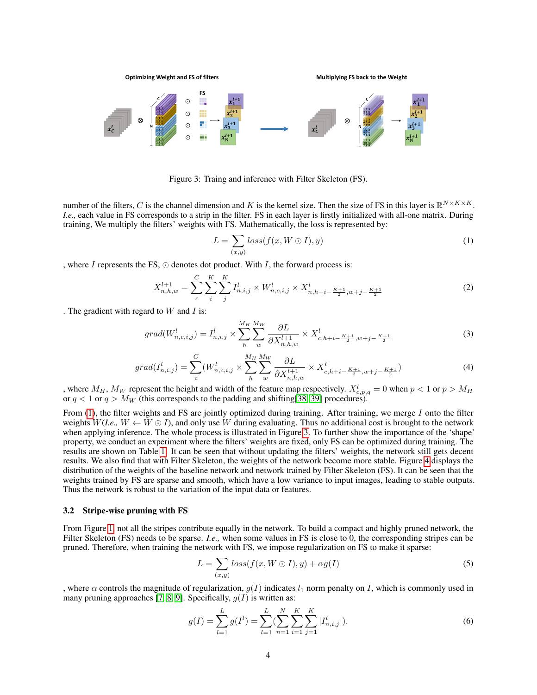

<span id="page-3-1"></span>Figure 3: Traing and inference with Filter Skeleton (FS).

number of the filters, C is the channel dimension and K is the kernel size. Then the size of FS in this layer is  $\mathbb{R}^{N \times K \times K}$ . *I.e.,* each value in FS corresponds to a strip in the filter. FS in each layer is firstly initialized with all-one matrix. During training, We multiply the filters' weights with FS. Mathematically, the loss is represented by:

<span id="page-3-0"></span>
$$
L = \sum_{(x,y)} loss(f(x, W \odot I), y)
$$
\n(1)

, where  $I$  represents the FS,  $\odot$  denotes dot product. With  $I$ , the forward process is:

$$
X_{n,h,w}^{l+1} = \sum_{c}^{C} \sum_{i}^{K} \sum_{j}^{K} I_{n,i,j}^{l} \times W_{n,c,i,j}^{l} \times X_{n,h+i-\frac{K+1}{2},w+j-\frac{K+1}{2}}^{l} \tag{2}
$$

. The gradient with regard to  $W$  and  $I$  is:

$$
grad(W_{n,c,i,j}^l) = I_{n,i,j}^l \times \sum_{h}^{M_H} \sum_{w}^{M_W} \frac{\partial L}{\partial X_{n,h,w}^{l+1}} \times X_{c,h+i-\frac{K+1}{2},w+j-\frac{K+1}{2}}^{l}
$$
(3)

$$
grad(I_{n,i,j}^l) = \sum_{c}^{C} (W_{n,c,i,j}^l \times \sum_{h}^{M_H} \sum_{w}^{M_W} \frac{\partial L}{\partial X_{n,h,w}^{l+1}} \times X_{c,h+i-\frac{K+1}{2},w+j-\frac{K+1}{2}}^l)
$$
(4)

, where  $M_H$ ,  $M_W$  represent the height and width of the feature map respectively.  $X_{c,p,q}^l = 0$  when  $p < 1$  or  $p > M_H$ or  $q < 1$  or  $q > M_W$  (this corresponds to the padding and shifting [\[38,](#page-9-14) [39\]](#page-9-15) procedures).

From  $(1)$ , the filter weights and FS are jointly optimized during training. After training, we merge I onto the filter weights  $W(I.e., W \leftarrow W \odot I)$ , and only use W during evaluating. Thus no additional cost is brought to the network when applying inference. The whole process is illustrated in Figure [3.](#page-3-1) To further show the importance of the 'shape' property, we conduct an experiment where the filters' weights are fixed, only FS can be optimized during training. The results are shown on Table [1.](#page-2-3) It can be seen that without updating the filters' weights, the network still gets decent results. We also find that with Filter Skeleton, the weights of the network become more stable. Figure [4](#page-4-0) displays the distribution of the weights of the baseline network and network trained by Filter Skeleton (FS). It can be seen that the weights trained by FS are sparse and smooth, which have a low variance to input images, leading to stable outputs. Thus the network is robust to the variation of the input data or features.

#### 3.2 Stripe-wise pruning with FS

From Figure [1,](#page-1-0) not all the stripes contribute equally in the network. To build a compact and highly pruned network, the Filter Skeleton (FS) needs to be sparse. *I.e.*, when some values in FS is close to 0, the corresponding stripes can be pruned. Therefore, when training the network with FS, we impose regularization on FS to make it sparse:

<span id="page-3-2"></span>
$$
L = \sum_{(x,y)} loss(f(x, W \odot I), y) + \alpha g(I)
$$
\n<sup>(5)</sup>

, where  $\alpha$  controls the magnitude of regularization,  $g(I)$  indicates  $l_1$  norm penalty on I, which is commonly used in many pruning approaches [\[7,](#page-8-6) [8,](#page-8-7) [9\]](#page-8-8). Specifically,  $g(I)$  is written as:

$$
g(I) = \sum_{l=1}^{L} g(I^l) = \sum_{l=1}^{L} \left( \sum_{n=1}^{N} \sum_{i=1}^{K} \sum_{j=1}^{K} |I^l_{n,i,j}| \right).
$$
 (6)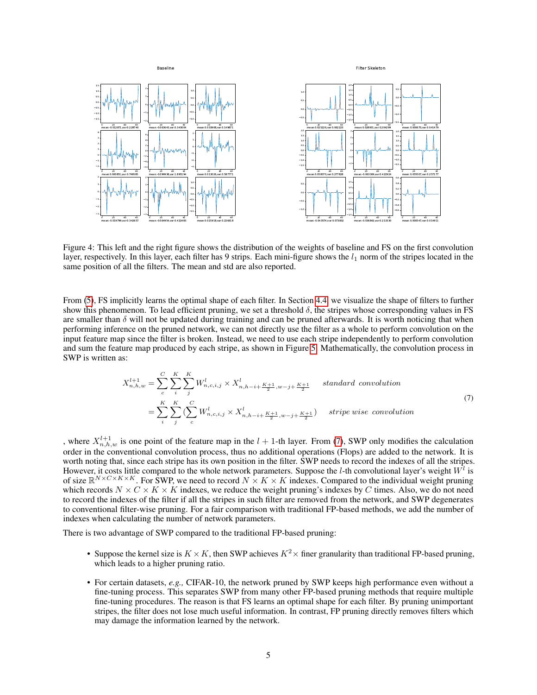

<span id="page-4-0"></span>Figure 4: This left and the right figure shows the distribution of the weights of baseline and FS on the first convolution layer, respectively. In this layer, each filter has 9 strips. Each mini-figure shows the  $l_1$  norm of the stripes located in the same position of all the filters. The mean and std are also reported.

From [\(5\)](#page-3-2), FS implicitly learns the optimal shape of each filter. In Section [4.4,](#page-7-0) we visualize the shape of filters to further show this phenomenon. To lead efficient pruning, we set a threshold  $\delta$ , the stripes whose corresponding values in FS are smaller than  $\delta$  will not be updated during training and can be pruned afterwards. It is worth noticing that when performing inference on the pruned network, we can not directly use the filter as a whole to perform convolution on the input feature map since the filter is broken. Instead, we need to use each stripe independently to perform convolution and sum the feature map produced by each stripe, as shown in Figure [5.](#page-5-1) Mathematically, the convolution process in SWP is written as:

<span id="page-4-1"></span>
$$
X_{n,h,w}^{l+1} = \sum_{c}^{C} \sum_{i}^{K} \sum_{j}^{K} W_{n,c,i,j}^{l} \times X_{n,h-i+\frac{K+1}{2},w-j+\frac{K+1}{2}}^{l} \quad standard \; convolution
$$
\n
$$
= \sum_{i}^{K} \sum_{j}^{K} \left( \sum_{c}^{C} W_{n,c,i,j}^{l} \times X_{n,h-i+\frac{K+1}{2},w-j+\frac{K+1}{2}}^{l} \right) \quad string \;wise \; convolution
$$
\n(7)

, where  $X_{n,h,w}^{l+1}$  is one point of the feature map in the  $l + 1$ -th layer. From [\(7\)](#page-4-1), SWP only modifies the calculation order in the conventional convolution process, thus no additional operations (Flops) are added to the network. It is worth noting that, since each stripe has its own position in the filter. SWP needs to record the indexes of all the stripes. However, it costs little compared to the whole network parameters. Suppose the *l*-th convolutional layer's weight  $W^l$  is of size  $\mathbb{R}^{N\times C\times K\times K}$ . For SWP, we need to record  $N\times K\times K$  indexes. Compared to the individual weight pruning which records  $N \times C \times K \times K$  indexes, we reduce the weight pruning's indexes by C times. Also, we do not need to record the indexes of the filter if all the stripes in such filter are removed from the network, and SWP degenerates to conventional filter-wise pruning. For a fair comparison with traditional FP-based methods, we add the number of indexes when calculating the number of network parameters.

There is two advantage of SWP compared to the traditional FP-based pruning:

- Suppose the kernel size is  $K \times K$ , then SWP achieves  $K^2 \times$  finer granularity than traditional FP-based pruning, which leads to a higher pruning ratio.
- For certain datasets, *e.g.,* CIFAR-10, the network pruned by SWP keeps high performance even without a fine-tuning process. This separates SWP from many other FP-based pruning methods that require multiple fine-tuning procedures. The reason is that FS learns an optimal shape for each filter. By pruning unimportant stripes, the filter does not lose much useful information. In contrast, FP pruning directly removes filters which may damage the information learned by the network.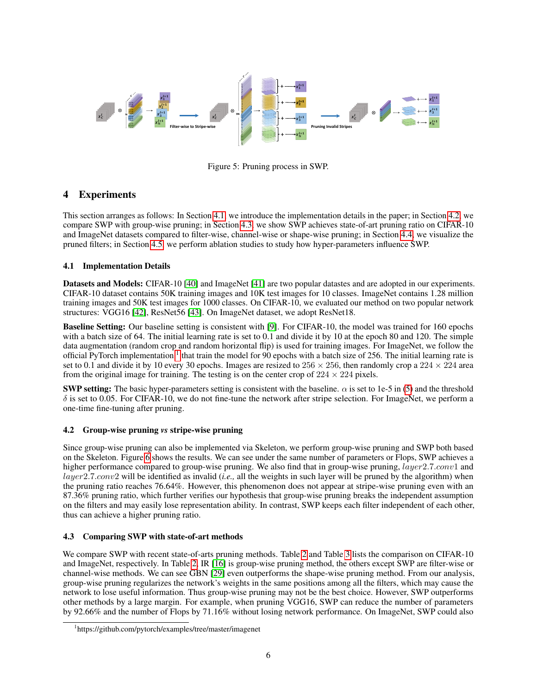

<span id="page-5-1"></span>Figure 5: Pruning process in SWP.

# 4 Experiments

This section arranges as follows: In Section [4.1,](#page-5-2) we introduce the implementation details in the paper; in Section [4.2,](#page-5-0) we compare SWP with group-wise pruning; in Section [4.3,](#page-5-3) we show SWP achieves state-of-art pruning ratio on CIFAR-10 and ImageNet datasets compared to filter-wise, channel-wise or shape-wise pruning; in Section [4.4,](#page-7-0) we visualize the pruned filters; in Section [4.5,](#page-7-1) we perform ablation studies to study how hyper-parameters influence SWP.

# <span id="page-5-2"></span>4.1 Implementation Details

Datasets and Models: CIFAR-10 [\[40\]](#page-9-16) and ImageNet [\[41\]](#page-9-17) are two popular datastes and are adopted in our experiments. CIFAR-10 dataset contains 50K training images and 10K test images for 10 classes. ImageNet contains 1.28 million training images and 50K test images for 1000 classes. On CIFAR-10, we evaluated our method on two popular network structures: VGG16 [\[42\]](#page-9-18), ResNet56 [\[43\]](#page-9-19). On ImageNet dataset, we adopt ResNet18.

Baseline Setting: Our baseline setting is consistent with [\[9\]](#page-8-8). For CIFAR-10, the model was trained for 160 epochs with a batch size of 64. The initial learning rate is set to 0.1 and divide it by 10 at the epoch 80 and 120. The simple data augmentation (random crop and random horizontal flip) is used for training images. For ImageNet, we follow the official PyTorch implementation  $1$  that train the model for 90 epochs with a batch size of 256. The initial learning rate is set to 0.1 and divide it by 10 every 30 epochs. Images are resized to  $256 \times 256$ , then randomly crop a  $224 \times 224$  area from the original image for training. The testing is on the center crop of  $224 \times 224$  pixels.

**SWP setting:** The basic hyper-parameters setting is consistent with the baseline.  $\alpha$  is set to 1e-5 in [\(5\)](#page-3-2) and the threshold  $\delta$  is set to 0.05. For CIFAR-10, we do not fine-tune the network after stripe selection. For ImageNet, we perform a one-time fine-tuning after pruning.

# <span id="page-5-0"></span>4.2 Group-wise pruning *vs* stripe-wise pruning

Since group-wise pruning can also be implemented via Skeleton, we perform group-wise pruning and SWP both based on the Skeleton. Figure [6](#page-6-0) shows the results. We can see under the same number of parameters or Flops, SWP achieves a higher performance compared to group-wise pruning. We also find that in group-wise pruning, layer2.7.conv1 and layer2.7.conv2 will be identified as invalid (*i.e.,* all the weights in such layer will be pruned by the algorithm) when the pruning ratio reaches 76.64%. However, this phenomenon does not appear at stripe-wise pruning even with an 87.36% pruning ratio, which further verifies our hypothesis that group-wise pruning breaks the independent assumption on the filters and may easily lose representation ability. In contrast, SWP keeps each filter independent of each other, thus can achieve a higher pruning ratio.

## <span id="page-5-3"></span>4.3 Comparing SWP with state-of-art methods

We compare SWP with recent state-of-arts pruning methods. Table [2](#page-6-1) and Table [3](#page-6-2) lists the comparison on CIFAR-10 and ImageNet, respectively. In Table [2,](#page-6-1) IR [\[16\]](#page-8-15) is group-wise pruning method, the others except SWP are filter-wise or channel-wise methods. We can see GBN [\[29\]](#page-9-5) even outperforms the shape-wise pruning method. From our analysis, group-wise pruning regularizes the network's weights in the same positions among all the filters, which may cause the network to lose useful information. Thus group-wise pruning may not be the best choice. However, SWP outperforms other methods by a large margin. For example, when pruning VGG16, SWP can reduce the number of parameters by 92.66% and the number of Flops by 71.16% without losing network performance. On ImageNet, SWP could also

<span id="page-5-4"></span><sup>1</sup> https://github.com/pytorch/examples/tree/master/imagenet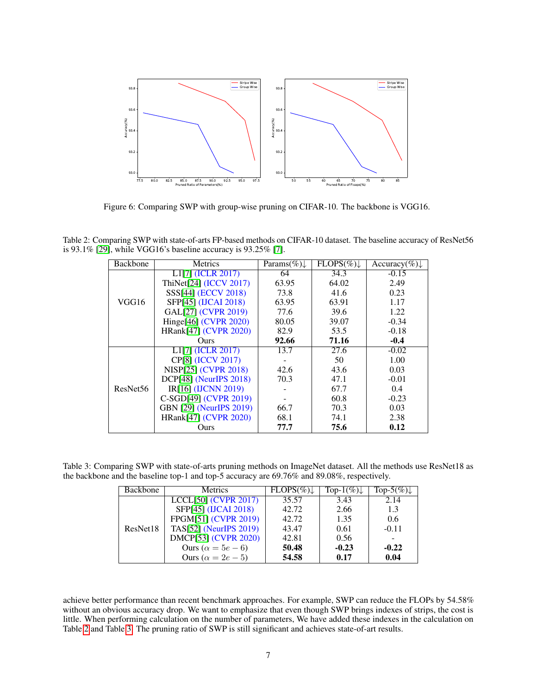

<span id="page-6-0"></span>Figure 6: Comparing SWP with group-wise pruning on CIFAR-10. The backbone is VGG16.

Table 2: Comparing SWP with state-of-arts FP-based methods on CIFAR-10 dataset. The baseline accuracy of ResNet56 is 93.1% [\[29\]](#page-9-5), while VGG16's baseline accuracy is 93.25% [\[7\]](#page-8-6).

<span id="page-6-1"></span>

| Backbone             | <b>Metrics</b>                         | Params $(\%)$ | $\overline{\text{FLOPS}}(\%)$ | $Accuracy(\%) \downarrow$ |
|----------------------|----------------------------------------|---------------|-------------------------------|---------------------------|
|                      | L <sub>1</sub> [7] ( <b>ICLR</b> 2017) | 64            | 34.3                          | $-0.15$                   |
|                      | ThiNet[24] (ICCV 2017)                 | 63.95         | 64.02                         | 2.49                      |
|                      | SSS[44] (ECCV 2018)                    | 73.8          | 41.6                          | 0.23                      |
| VGG16                | SFP[45] (IJCAI 2018)                   | 63.95         | 63.91                         | 1.17                      |
|                      | GAL[27] (CVPR 2019)                    | 77.6          | 39.6                          | 1.22                      |
|                      | Hinge[46] (CVPR 2020)                  | 80.05         | 39.07                         | $-0.34$                   |
|                      | HRank[47] (CVPR 2020)                  | 82.9          | 53.5                          | $-0.18$                   |
|                      | <b>Ours</b>                            | 92.66         | 71.16                         | $-0.4$                    |
| ResNet <sub>56</sub> | L <sub>1</sub> [7] (ICLR 2017)         | 13.7          | 27.6                          | $-0.02$                   |
|                      | CP[8] (ICCV 2017)                      |               | 50                            | 1.00                      |
|                      | NISP[25] (CVPR 2018)                   | 42.6          | 43.6                          | 0.03                      |
|                      | DCP[48] (NeurIPS 2018)                 | 70.3          | 47.1                          | $-0.01$                   |
|                      | IR[16] (IJCNN 2019)                    |               | 67.7                          | 0.4                       |
|                      | C-SGD[49] (CVPR 2019)                  |               | 60.8                          | $-0.23$                   |
|                      | GBN [29] (NeurIPS 2019)                | 66.7          | 70.3                          | 0.03                      |
|                      | HRank[47] (CVPR 2020)                  | 68.1          | 74.1                          | 2.38                      |
|                      | Ours                                   | 77.7          | 75.6                          | 0.12                      |

<span id="page-6-2"></span>Table 3: Comparing SWP with state-of-arts pruning methods on ImageNet dataset. All the methods use ResNet18 as the backbone and the baseline top-1 and top-5 accuracy are 69.76% and 89.08%, respectively.

| Backbone | <b>Metrics</b>              | $FLOPS(\%)$ | Top- $1(\%) \downarrow$ | Top-5(%) $\downarrow$ |
|----------|-----------------------------|-------------|-------------------------|-----------------------|
| ResNet18 | $LCCL[50]$ (CVPR 2017)      | 35.57       | 3.43                    | 2.14                  |
|          | SFP[45] (IJCAI 2018)        | 42.72       | 2.66                    | 1.3                   |
|          | FPGM[51] (CVPR 2019)        | 42.72       | 1.35                    | 0.6                   |
|          | TAS[52] (NeurIPS 2019)      | 43.47       | 0.61                    | $-0.11$               |
|          | <b>DMCP[53] (CVPR 2020)</b> | 42.81       | 0.56                    |                       |
|          | Ours ( $\alpha = 5e - 6$ )  | 50.48       | $-0.23$                 | $-0.22$               |
|          | Ours ( $\alpha = 2e - 5$ )  | 54.58       | 0.17                    | 0.04                  |

achieve better performance than recent benchmark approaches. For example, SWP can reduce the FLOPs by 54.58% without an obvious accuracy drop. We want to emphasize that even though SWP brings indexes of strips, the cost is little. When performing calculation on the number of parameters, We have added these indexes in the calculation on Table [2](#page-6-1) and Table [3.](#page-6-2) The pruning ratio of SWP is still significant and achieves state-of-art results.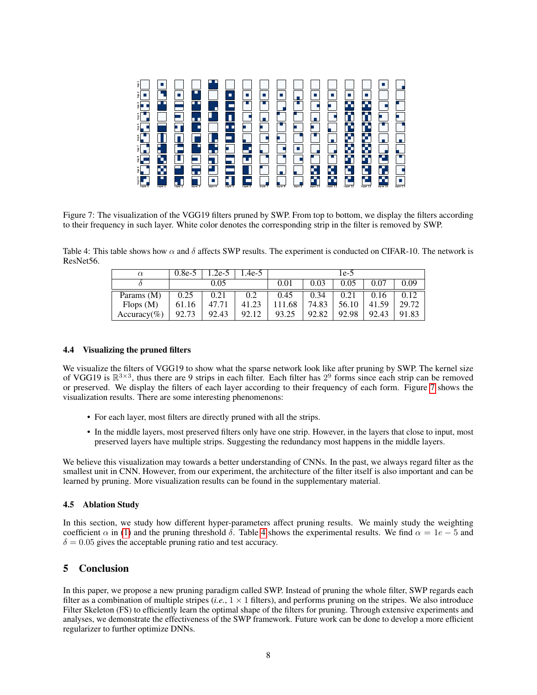

<span id="page-7-2"></span>Figure 7: The visualization of the VGG19 filters pruned by SWP. From top to bottom, we display the filters according to their frequency in such layer. White color denotes the corresponding strip in the filter is removed by SWP.

<span id="page-7-3"></span>Table 4: This table shows how  $\alpha$  and  $\delta$  affects SWP results. The experiment is conducted on CIFAR-10. The network is ResNet56.

| $\alpha$     | $0.8e-5$ | $.2e-5$ | .4e-5 |        |       | 1e-5  |       |       |
|--------------|----------|---------|-------|--------|-------|-------|-------|-------|
|              |          | 0.05    |       | 0.01   | 0.03  | 0.05  | 0.07  | 0.09  |
| Params $(M)$ | 0.25     | 0.21    | 0.2   | 0.45   | 0.34  | 0.21  | 0.16  | 0.12  |
| Flops $(M)$  | 61.16    | 47.71   | 41.23 | 111.68 | 74.83 | 56.10 | 41.59 | 29.72 |
| Accuracy(%)  | 92.73    | 92.43   | 92.12 | 93.25  | 92.82 | 92.98 | 92.43 | 91.83 |

### <span id="page-7-0"></span>4.4 Visualizing the pruned filters

We visualize the filters of VGG19 to show what the sparse network look like after pruning by SWP. The kernel size of VGG19 is  $\mathbb{R}^{3\times3}$ , thus there are 9 strips in each filter. Each filter has  $2^9$  forms since each strip can be removed or preserved. We display the filters of each layer according to their frequency of each form. Figure [7](#page-7-2) shows the visualization results. There are some interesting phenomenons:

- For each layer, most filters are directly pruned with all the strips.
- In the middle layers, most preserved filters only have one strip. However, in the layers that close to input, most preserved layers have multiple strips. Suggesting the redundancy most happens in the middle layers.

We believe this visualization may towards a better understanding of CNNs. In the past, we always regard filter as the smallest unit in CNN. However, from our experiment, the architecture of the filter itself is also important and can be learned by pruning. More visualization results can be found in the supplementary material.

### <span id="page-7-1"></span>4.5 Ablation Study

In this section, we study how different hyper-parameters affect pruning results. We mainly study the weighting coefficient  $\alpha$  in [\(1\)](#page-3-0) and the pruning threshold  $\delta$ . Table [4](#page-7-3) shows the experimental results. We find  $\alpha = 1e - 5$  and  $\delta = 0.05$  gives the acceptable pruning ratio and test accuracy.

## 5 Conclusion

In this paper, we propose a new pruning paradigm called SWP. Instead of pruning the whole filter, SWP regards each filter as a combination of multiple stripes  $(i.e., 1 \times 1$  filters), and performs pruning on the stripes. We also introduce Filter Skeleton (FS) to efficiently learn the optimal shape of the filters for pruning. Through extensive experiments and analyses, we demonstrate the effectiveness of the SWP framework. Future work can be done to develop a more efficient regularizer to further optimize DNNs.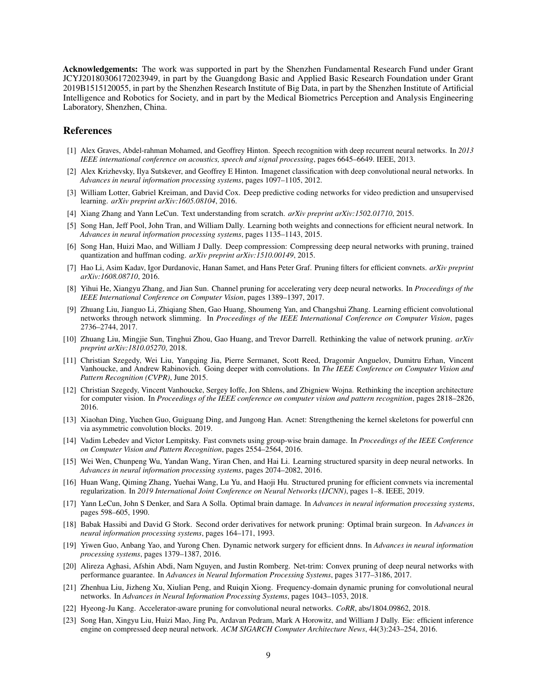Acknowledgements: The work was supported in part by the Shenzhen Fundamental Research Fund under Grant JCYJ20180306172023949, in part by the Guangdong Basic and Applied Basic Research Foundation under Grant 2019B1515120055, in part by the Shenzhen Research Institute of Big Data, in part by the Shenzhen Institute of Artificial Intelligence and Robotics for Society, and in part by the Medical Biometrics Perception and Analysis Engineering Laboratory, Shenzhen, China.

### References

- <span id="page-8-0"></span>[1] Alex Graves, Abdel-rahman Mohamed, and Geoffrey Hinton. Speech recognition with deep recurrent neural networks. In *2013 IEEE international conference on acoustics, speech and signal processing*, pages 6645–6649. IEEE, 2013.
- <span id="page-8-1"></span>[2] Alex Krizhevsky, Ilya Sutskever, and Geoffrey E Hinton. Imagenet classification with deep convolutional neural networks. In *Advances in neural information processing systems*, pages 1097–1105, 2012.
- <span id="page-8-2"></span>[3] William Lotter, Gabriel Kreiman, and David Cox. Deep predictive coding networks for video prediction and unsupervised learning. *arXiv preprint arXiv:1605.08104*, 2016.
- <span id="page-8-3"></span>[4] Xiang Zhang and Yann LeCun. Text understanding from scratch. *arXiv preprint arXiv:1502.01710*, 2015.
- <span id="page-8-4"></span>[5] Song Han, Jeff Pool, John Tran, and William Dally. Learning both weights and connections for efficient neural network. In *Advances in neural information processing systems*, pages 1135–1143, 2015.
- <span id="page-8-5"></span>[6] Song Han, Huizi Mao, and William J Dally. Deep compression: Compressing deep neural networks with pruning, trained quantization and huffman coding. *arXiv preprint arXiv:1510.00149*, 2015.
- <span id="page-8-6"></span>[7] Hao Li, Asim Kadav, Igor Durdanovic, Hanan Samet, and Hans Peter Graf. Pruning filters for efficient convnets. *arXiv preprint arXiv:1608.08710*, 2016.
- <span id="page-8-7"></span>[8] Yihui He, Xiangyu Zhang, and Jian Sun. Channel pruning for accelerating very deep neural networks. In *Proceedings of the IEEE International Conference on Computer Vision*, pages 1389–1397, 2017.
- <span id="page-8-8"></span>[9] Zhuang Liu, Jianguo Li, Zhiqiang Shen, Gao Huang, Shoumeng Yan, and Changshui Zhang. Learning efficient convolutional networks through network slimming. In *Proceedings of the IEEE International Conference on Computer Vision*, pages 2736–2744, 2017.
- <span id="page-8-9"></span>[10] Zhuang Liu, Mingjie Sun, Tinghui Zhou, Gao Huang, and Trevor Darrell. Rethinking the value of network pruning. *arXiv preprint arXiv:1810.05270*, 2018.
- <span id="page-8-10"></span>[11] Christian Szegedy, Wei Liu, Yangqing Jia, Pierre Sermanet, Scott Reed, Dragomir Anguelov, Dumitru Erhan, Vincent Vanhoucke, and Andrew Rabinovich. Going deeper with convolutions. In *The IEEE Conference on Computer Vision and Pattern Recognition (CVPR)*, June 2015.
- <span id="page-8-11"></span>[12] Christian Szegedy, Vincent Vanhoucke, Sergey Ioffe, Jon Shlens, and Zbigniew Wojna. Rethinking the inception architecture for computer vision. In *Proceedings of the IEEE conference on computer vision and pattern recognition*, pages 2818–2826, 2016.
- <span id="page-8-12"></span>[13] Xiaohan Ding, Yuchen Guo, Guiguang Ding, and Jungong Han. Acnet: Strengthening the kernel skeletons for powerful cnn via asymmetric convolution blocks. 2019.
- <span id="page-8-13"></span>[14] Vadim Lebedev and Victor Lempitsky. Fast convnets using group-wise brain damage. In *Proceedings of the IEEE Conference on Computer Vision and Pattern Recognition*, pages 2554–2564, 2016.
- <span id="page-8-14"></span>[15] Wei Wen, Chunpeng Wu, Yandan Wang, Yiran Chen, and Hai Li. Learning structured sparsity in deep neural networks. In *Advances in neural information processing systems*, pages 2074–2082, 2016.
- <span id="page-8-15"></span>[16] Huan Wang, Qiming Zhang, Yuehai Wang, Lu Yu, and Haoji Hu. Structured pruning for efficient convnets via incremental regularization. In *2019 International Joint Conference on Neural Networks (IJCNN)*, pages 1–8. IEEE, 2019.
- <span id="page-8-16"></span>[17] Yann LeCun, John S Denker, and Sara A Solla. Optimal brain damage. In *Advances in neural information processing systems*, pages 598–605, 1990.
- <span id="page-8-17"></span>[18] Babak Hassibi and David G Stork. Second order derivatives for network pruning: Optimal brain surgeon. In *Advances in neural information processing systems*, pages 164–171, 1993.
- <span id="page-8-18"></span>[19] Yiwen Guo, Anbang Yao, and Yurong Chen. Dynamic network surgery for efficient dnns. In *Advances in neural information processing systems*, pages 1379–1387, 2016.
- <span id="page-8-19"></span>[20] Alireza Aghasi, Afshin Abdi, Nam Nguyen, and Justin Romberg. Net-trim: Convex pruning of deep neural networks with performance guarantee. In *Advances in Neural Information Processing Systems*, pages 3177–3186, 2017.
- <span id="page-8-20"></span>[21] Zhenhua Liu, Jizheng Xu, Xiulian Peng, and Ruiqin Xiong. Frequency-domain dynamic pruning for convolutional neural networks. In *Advances in Neural Information Processing Systems*, pages 1043–1053, 2018.
- <span id="page-8-21"></span>[22] Hyeong-Ju Kang. Accelerator-aware pruning for convolutional neural networks. *CoRR*, abs/1804.09862, 2018.
- <span id="page-8-22"></span>[23] Song Han, Xingyu Liu, Huizi Mao, Jing Pu, Ardavan Pedram, Mark A Horowitz, and William J Dally. Eie: efficient inference engine on compressed deep neural network. *ACM SIGARCH Computer Architecture News*, 44(3):243–254, 2016.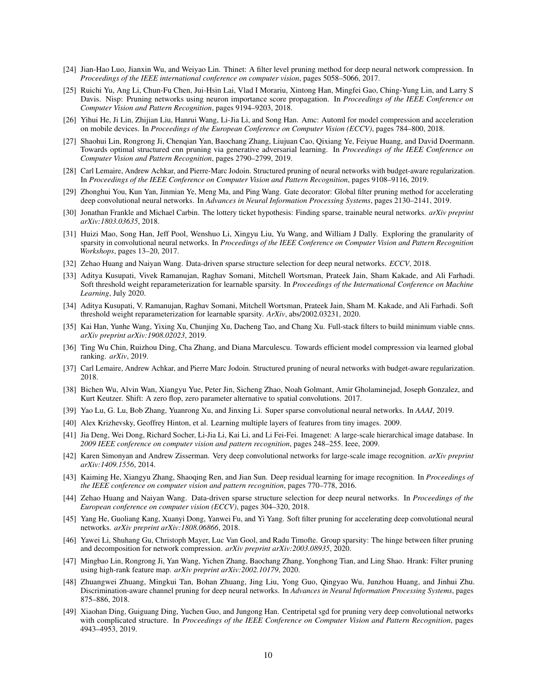- <span id="page-9-0"></span>[24] Jian-Hao Luo, Jianxin Wu, and Weiyao Lin. Thinet: A filter level pruning method for deep neural network compression. In *Proceedings of the IEEE international conference on computer vision*, pages 5058–5066, 2017.
- <span id="page-9-1"></span>[25] Ruichi Yu, Ang Li, Chun-Fu Chen, Jui-Hsin Lai, Vlad I Morariu, Xintong Han, Mingfei Gao, Ching-Yung Lin, and Larry S Davis. Nisp: Pruning networks using neuron importance score propagation. In *Proceedings of the IEEE Conference on Computer Vision and Pattern Recognition*, pages 9194–9203, 2018.
- <span id="page-9-2"></span>[26] Yihui He, Ji Lin, Zhijian Liu, Hanrui Wang, Li-Jia Li, and Song Han. Amc: Automl for model compression and acceleration on mobile devices. In *Proceedings of the European Conference on Computer Vision (ECCV)*, pages 784–800, 2018.
- <span id="page-9-3"></span>[27] Shaohui Lin, Rongrong Ji, Chenqian Yan, Baochang Zhang, Liujuan Cao, Qixiang Ye, Feiyue Huang, and David Doermann. Towards optimal structured cnn pruning via generative adversarial learning. In *Proceedings of the IEEE Conference on Computer Vision and Pattern Recognition*, pages 2790–2799, 2019.
- <span id="page-9-4"></span>[28] Carl Lemaire, Andrew Achkar, and Pierre-Marc Jodoin. Structured pruning of neural networks with budget-aware regularization. In *Proceedings of the IEEE Conference on Computer Vision and Pattern Recognition*, pages 9108–9116, 2019.
- <span id="page-9-5"></span>[29] Zhonghui You, Kun Yan, Jinmian Ye, Meng Ma, and Ping Wang. Gate decorator: Global filter pruning method for accelerating deep convolutional neural networks. In *Advances in Neural Information Processing Systems*, pages 2130–2141, 2019.
- <span id="page-9-6"></span>[30] Jonathan Frankle and Michael Carbin. The lottery ticket hypothesis: Finding sparse, trainable neural networks. *arXiv preprint arXiv:1803.03635*, 2018.
- <span id="page-9-7"></span>[31] Huizi Mao, Song Han, Jeff Pool, Wenshuo Li, Xingyu Liu, Yu Wang, and William J Dally. Exploring the granularity of sparsity in convolutional neural networks. In *Proceedings of the IEEE Conference on Computer Vision and Pattern Recognition Workshops*, pages 13–20, 2017.
- <span id="page-9-8"></span>[32] Zehao Huang and Naiyan Wang. Data-driven sparse structure selection for deep neural networks. *ECCV*, 2018.
- <span id="page-9-9"></span>[33] Aditya Kusupati, Vivek Ramanujan, Raghav Somani, Mitchell Wortsman, Prateek Jain, Sham Kakade, and Ali Farhadi. Soft threshold weight reparameterization for learnable sparsity. In *Proceedings of the International Conference on Machine Learning*, July 2020.
- <span id="page-9-10"></span>[34] Aditya Kusupati, V. Ramanujan, Raghav Somani, Mitchell Wortsman, Prateek Jain, Sham M. Kakade, and Ali Farhadi. Soft threshold weight reparameterization for learnable sparsity. *ArXiv*, abs/2002.03231, 2020.
- <span id="page-9-11"></span>[35] Kai Han, Yunhe Wang, Yixing Xu, Chunjing Xu, Dacheng Tao, and Chang Xu. Full-stack filters to build minimum viable cnns. *arXiv preprint arXiv:1908.02023*, 2019.
- <span id="page-9-12"></span>[36] Ting Wu Chin, Ruizhou Ding, Cha Zhang, and Diana Marculescu. Towards efficient model compression via learned global ranking. *arXiv*, 2019.
- <span id="page-9-13"></span>[37] Carl Lemaire, Andrew Achkar, and Pierre Marc Jodoin. Structured pruning of neural networks with budget-aware regularization. 2018.
- <span id="page-9-14"></span>[38] Bichen Wu, Alvin Wan, Xiangyu Yue, Peter Jin, Sicheng Zhao, Noah Golmant, Amir Gholaminejad, Joseph Gonzalez, and Kurt Keutzer. Shift: A zero flop, zero parameter alternative to spatial convolutions. 2017.
- <span id="page-9-15"></span>[39] Yao Lu, G. Lu, Bob Zhang, Yuanrong Xu, and Jinxing Li. Super sparse convolutional neural networks. In *AAAI*, 2019.
- <span id="page-9-16"></span>[40] Alex Krizhevsky, Geoffrey Hinton, et al. Learning multiple layers of features from tiny images. 2009.
- <span id="page-9-17"></span>[41] Jia Deng, Wei Dong, Richard Socher, Li-Jia Li, Kai Li, and Li Fei-Fei. Imagenet: A large-scale hierarchical image database. In *2009 IEEE conference on computer vision and pattern recognition*, pages 248–255. Ieee, 2009.
- <span id="page-9-18"></span>[42] Karen Simonyan and Andrew Zisserman. Very deep convolutional networks for large-scale image recognition. *arXiv preprint arXiv:1409.1556*, 2014.
- <span id="page-9-19"></span>[43] Kaiming He, Xiangyu Zhang, Shaoqing Ren, and Jian Sun. Deep residual learning for image recognition. In *Proceedings of the IEEE conference on computer vision and pattern recognition*, pages 770–778, 2016.
- <span id="page-9-20"></span>[44] Zehao Huang and Naiyan Wang. Data-driven sparse structure selection for deep neural networks. In *Proceedings of the European conference on computer vision (ECCV)*, pages 304–320, 2018.
- <span id="page-9-21"></span>[45] Yang He, Guoliang Kang, Xuanyi Dong, Yanwei Fu, and Yi Yang. Soft filter pruning for accelerating deep convolutional neural networks. *arXiv preprint arXiv:1808.06866*, 2018.
- <span id="page-9-22"></span>[46] Yawei Li, Shuhang Gu, Christoph Mayer, Luc Van Gool, and Radu Timofte. Group sparsity: The hinge between filter pruning and decomposition for network compression. *arXiv preprint arXiv:2003.08935*, 2020.
- <span id="page-9-23"></span>[47] Mingbao Lin, Rongrong Ji, Yan Wang, Yichen Zhang, Baochang Zhang, Yonghong Tian, and Ling Shao. Hrank: Filter pruning using high-rank feature map. *arXiv preprint arXiv:2002.10179*, 2020.
- <span id="page-9-24"></span>[48] Zhuangwei Zhuang, Mingkui Tan, Bohan Zhuang, Jing Liu, Yong Guo, Qingyao Wu, Junzhou Huang, and Jinhui Zhu. Discrimination-aware channel pruning for deep neural networks. In *Advances in Neural Information Processing Systems*, pages 875–886, 2018.
- <span id="page-9-25"></span>[49] Xiaohan Ding, Guiguang Ding, Yuchen Guo, and Jungong Han. Centripetal sgd for pruning very deep convolutional networks with complicated structure. In *Proceedings of the IEEE Conference on Computer Vision and Pattern Recognition*, pages 4943–4953, 2019.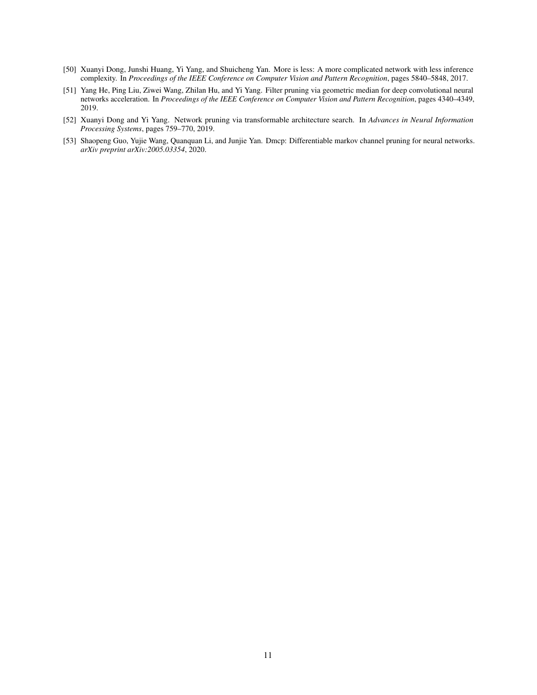- <span id="page-10-0"></span>[50] Xuanyi Dong, Junshi Huang, Yi Yang, and Shuicheng Yan. More is less: A more complicated network with less inference complexity. In *Proceedings of the IEEE Conference on Computer Vision and Pattern Recognition*, pages 5840–5848, 2017.
- <span id="page-10-1"></span>[51] Yang He, Ping Liu, Ziwei Wang, Zhilan Hu, and Yi Yang. Filter pruning via geometric median for deep convolutional neural networks acceleration. In *Proceedings of the IEEE Conference on Computer Vision and Pattern Recognition*, pages 4340–4349, 2019.
- <span id="page-10-2"></span>[52] Xuanyi Dong and Yi Yang. Network pruning via transformable architecture search. In *Advances in Neural Information Processing Systems*, pages 759–770, 2019.
- <span id="page-10-3"></span>[53] Shaopeng Guo, Yujie Wang, Quanquan Li, and Junjie Yan. Dmcp: Differentiable markov channel pruning for neural networks. *arXiv preprint arXiv:2005.03354*, 2020.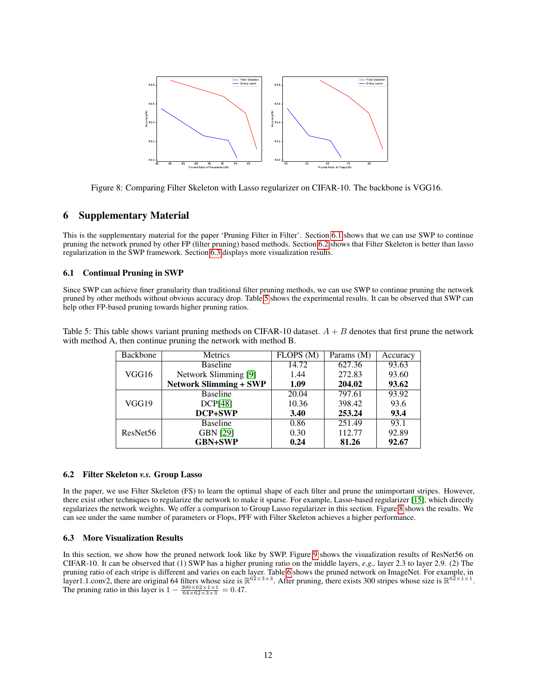

<span id="page-11-4"></span>Figure 8: Comparing Filter Skeleton with Lasso regularizer on CIFAR-10. The backbone is VGG16.

## 6 Supplementary Material

This is the supplementary material for the paper 'Pruning Filter in Filter'. Section [6.1](#page-11-0) shows that we can use SWP to continue pruning the network pruned by other FP (filter pruning) based methods. Section [6.2](#page-11-1) shows that Filter Skeleton is better than lasso regularization in the SWP framework. Section [6.3](#page-11-2) displays more visualization results.

### <span id="page-11-0"></span>6.1 Continual Pruning in SWP

Since SWP can achieve finer granularity than traditional filter pruning methods, we can use SWP to continue pruning the network pruned by other methods without obvious accuracy drop. Table [5](#page-11-3) shows the experimental results. It can be observed that SWP can help other FP-based pruning towards higher pruning ratios.

<span id="page-11-3"></span>Table 5: This table shows variant pruning methods on CIFAR-10 dataset.  $A + B$  denotes that first prune the network with method A, then continue pruning the network with method B.

| Backbone             | Metrics                       | FLOPS (M) | Params (M) | Accuracy |
|----------------------|-------------------------------|-----------|------------|----------|
|                      | <b>Baseline</b>               | 14.72     | 627.36     | 93.63    |
| VGG16                | Network Slimming [9]          | 1.44      | 272.83     | 93.60    |
|                      | <b>Network Slimming + SWP</b> | 1.09      | 204.02     | 93.62    |
| VGG19                | <b>Baseline</b>               | 20.04     | 797.61     | 93.92    |
|                      | DCP[48]                       | 10.36     | 398.42     | 93.6     |
|                      | <b>DCP+SWP</b>                | 3.40      | 253.24     | 93.4     |
| ResNet <sub>56</sub> | <b>Baseline</b>               | 0.86      | 251.49     | 93.1     |
|                      | <b>GBN [29]</b>               | 0.30      | 112.77     | 92.89    |
|                      | <b>GBN+SWP</b>                | 0.24      | 81.26      | 92.67    |

#### <span id="page-11-1"></span>6.2 Filter Skeleton *v.s.* Group Lasso

In the paper, we use Filter Skeleton (FS) to learn the optimal shape of each filter and prune the unimportant stripes. However, there exist other techniques to regularize the network to make it sparse. For example, Lasso-based regularizer [\[15\]](#page-8-14), which directly regularizes the network weights. We offer a comparison to Group Lasso regularizer in this section. Figure [8](#page-11-4) shows the results. We can see under the same number of parameters or Flops, PFF with Filter Skeleton achieves a higher performance.

#### <span id="page-11-2"></span>6.3 More Visualization Results

In this section, we show how the pruned network look like by SWP. Figure [9](#page-12-0) shows the visualization results of ResNet56 on CIFAR-10. It can be observed that (1) SWP has a higher pruning ratio on the middle layers, *e.g.,* layer 2.3 to layer 2.9. (2) The pruning ratio of each stripe is different and varies on each layer. Table [6](#page-12-1) shows the pruned network on ImageNet. For example, in<br>layer1.1.conv2, there are original 64 filters whose size is  $\mathbb{R}^{62 \times 3 \times 3}$ . After pru The pruning ratio in this layer is  $1 - \frac{300 \times 62 \times 1 \times 1}{64 \times 62 \times 3 \times 3} = 0.47$ .